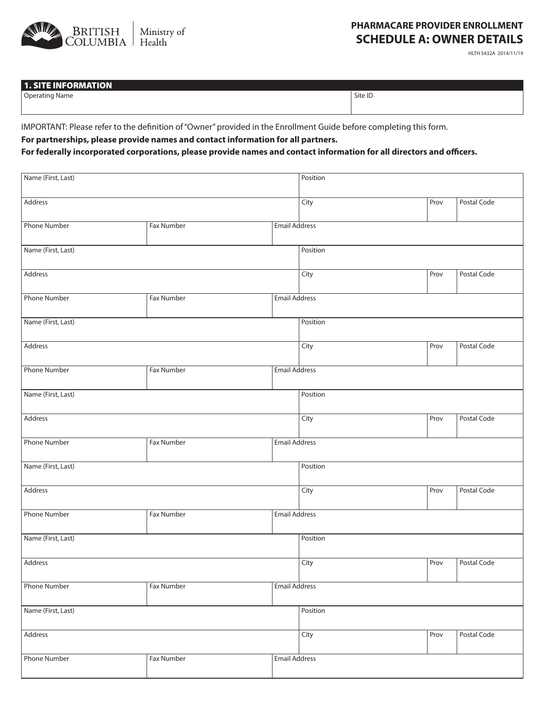

## **PHARMACARE PROVIDER ENROLLMENT SCHEDULE A: OWNER DETAILS**

HLTH 5432A 2014/11/19

## 1. SITE INFORMATION

Operating Name Site ID

IMPORTANT: Please refer to the definition of "Owner" provided in the Enrollment Guide before completing this form.

**For partnerships, please provide names and contact information for all partners.**

## **For federally incorporated corporations, please provide names and contact information for all directors and officers.**

| Name (First, Last)  |                   |                      | Position |             |             |  |  |
|---------------------|-------------------|----------------------|----------|-------------|-------------|--|--|
| Address             |                   | City                 | Prov     | Postal Code |             |  |  |
| Phone Number        | Fax Number        | <b>Email Address</b> |          |             |             |  |  |
| Name (First, Last)  |                   |                      | Position |             |             |  |  |
| Address             |                   |                      | City     | Prov        | Postal Code |  |  |
| <b>Phone Number</b> | Fax Number        | Email Address        |          |             |             |  |  |
| Name (First, Last)  |                   | Position             |          |             |             |  |  |
| Address             |                   |                      | City     | Prov        | Postal Code |  |  |
| <b>Phone Number</b> | Fax Number        | <b>Email Address</b> |          |             |             |  |  |
| Name (First, Last)  |                   |                      | Position |             |             |  |  |
| Address             |                   |                      | City     | Prov        | Postal Code |  |  |
| <b>Phone Number</b> | Fax Number        | <b>Email Address</b> |          |             |             |  |  |
| Name (First, Last)  |                   |                      | Position |             |             |  |  |
| Address             |                   |                      | City     | Prov        | Postal Code |  |  |
| <b>Phone Number</b> | Fax Number        | <b>Email Address</b> |          |             |             |  |  |
| Name (First, Last)  |                   |                      | Position |             |             |  |  |
| Address             |                   |                      | City     | Prov        | Postal Code |  |  |
| <b>Phone Number</b> | <b>Fax Number</b> | <b>Email Address</b> |          |             |             |  |  |
| Name (First, Last)  |                   |                      | Position |             |             |  |  |
| Address             |                   |                      | City     | Prov        | Postal Code |  |  |
| <b>Phone Number</b> | Fax Number        | <b>Email Address</b> |          |             |             |  |  |